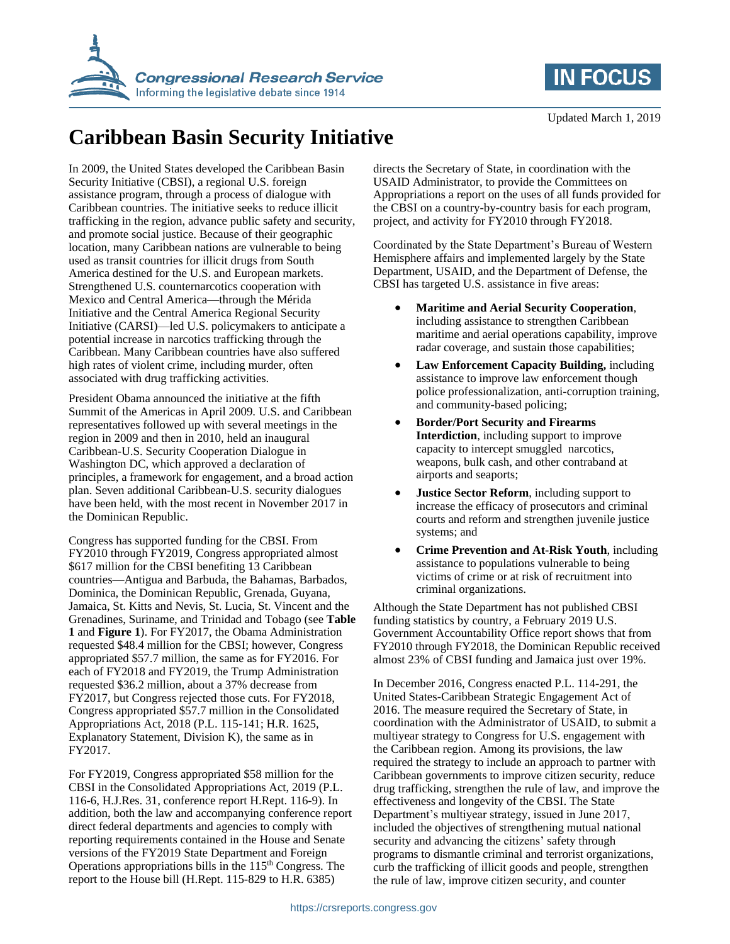



## **Caribbean Basin Security Initiative**

In 2009, the United States developed the Caribbean Basin Security Initiative (CBSI), a regional U.S. foreign assistance program, through a process of dialogue with Caribbean countries. The initiative seeks to reduce illicit trafficking in the region, advance public safety and security, and promote social justice. Because of their geographic location, many Caribbean nations are vulnerable to being used as transit countries for illicit drugs from South America destined for the U.S. and European markets. Strengthened U.S. counternarcotics cooperation with Mexico and Central America—through the Mérida Initiative and the Central America Regional Security Initiative (CARSI)—led U.S. policymakers to anticipate a potential increase in narcotics trafficking through the Caribbean. Many Caribbean countries have also suffered high rates of violent crime, including murder, often associated with drug trafficking activities.

President Obama announced the initiative at the fifth Summit of the Americas in April 2009. U.S. and Caribbean representatives followed up with several meetings in the region in 2009 and then in 2010, held an inaugural Caribbean-U.S. Security Cooperation Dialogue in Washington DC, which approved a declaration of principles, a framework for engagement, and a broad action plan. Seven additional Caribbean-U.S. security dialogues have been held, with the most recent in November 2017 in the Dominican Republic.

Congress has supported funding for the CBSI. From FY2010 through FY2019, Congress appropriated almost \$617 million for the CBSI benefiting 13 Caribbean countries—Antigua and Barbuda, the Bahamas, Barbados, Dominica, the Dominican Republic, Grenada, Guyana, Jamaica, St. Kitts and Nevis, St. Lucia, St. Vincent and the Grenadines, Suriname, and Trinidad and Tobago (see **[Table](#page-1-0)  [1](#page-1-0)** and **[Figure 1](#page-1-1)**). For FY2017, the Obama Administration requested \$48.4 million for the CBSI; however, Congress appropriated \$57.7 million, the same as for FY2016. For each of FY2018 and FY2019, the Trump Administration requested \$36.2 million, about a 37% decrease from FY2017, but Congress rejected those cuts. For FY2018, Congress appropriated \$57.7 million in the Consolidated Appropriations Act, 2018 (P.L. 115-141; H.R. 1625, Explanatory Statement, Division K), the same as in FY2017.

For FY2019, Congress appropriated \$58 million for the CBSI in the Consolidated Appropriations Act, 2019 (P.L. 116-6, H.J.Res. 31, conference report H.Rept. 116-9). In addition, both the law and accompanying conference report direct federal departments and agencies to comply with reporting requirements contained in the House and Senate versions of the FY2019 State Department and Foreign Operations appropriations bills in the 115<sup>th</sup> Congress. The report to the House bill (H.Rept. 115-829 to H.R. 6385)

directs the Secretary of State, in coordination with the USAID Administrator, to provide the Committees on Appropriations a report on the uses of all funds provided for the CBSI on a country-by-country basis for each program, project, and activity for FY2010 through FY2018.

Coordinated by the State Department's Bureau of Western Hemisphere affairs and implemented largely by the State Department, USAID, and the Department of Defense, the CBSI has targeted U.S. assistance in five areas:

- **Maritime and Aerial Security Cooperation**, including assistance to strengthen Caribbean maritime and aerial operations capability, improve radar coverage, and sustain those capabilities;
- **Law Enforcement Capacity Building,** including assistance to improve law enforcement though police professionalization, anti-corruption training, and community-based policing;
- **Border/Port Security and Firearms Interdiction**, including support to improve capacity to intercept smuggled narcotics, weapons, bulk cash, and other contraband at airports and seaports;
- **Justice Sector Reform**, including support to increase the efficacy of prosecutors and criminal courts and reform and strengthen juvenile justice systems; and
- **Crime Prevention and At-Risk Youth**, including assistance to populations vulnerable to being victims of crime or at risk of recruitment into criminal organizations.

Although the State Department has not published CBSI funding statistics by country, a February 2019 U.S. Government Accountability Office report shows that from FY2010 through FY2018, the Dominican Republic received almost 23% of CBSI funding and Jamaica just over 19%.

In December 2016, Congress enacted P.L. 114-291, the United States-Caribbean Strategic Engagement Act of 2016. The measure required the Secretary of State, in coordination with the Administrator of USAID, to submit a multiyear strategy to Congress for U.S. engagement with the Caribbean region. Among its provisions, the law required the strategy to include an approach to partner with Caribbean governments to improve citizen security, reduce drug trafficking, strengthen the rule of law, and improve the effectiveness and longevity of the CBSI. The State Department's multiyear strategy, issued in June 2017, included the objectives of strengthening mutual national security and advancing the citizens' safety through programs to dismantle criminal and terrorist organizations, curb the trafficking of illicit goods and people, strengthen the rule of law, improve citizen security, and counter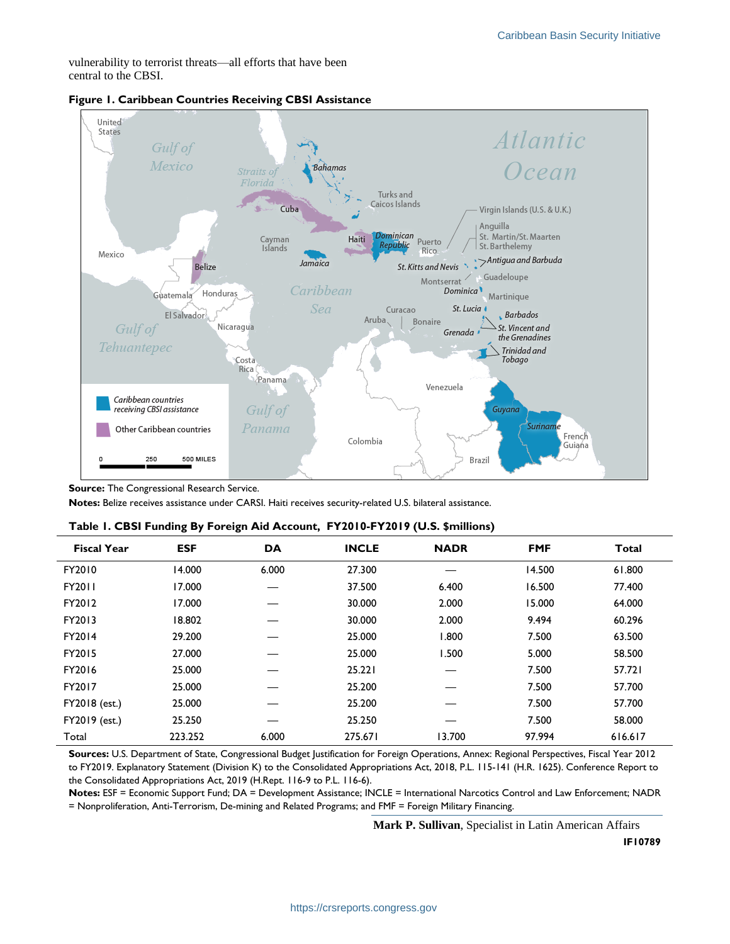vulnerability to terrorist threats—all efforts that have been central to the CBSI.



## <span id="page-1-1"></span>**Figure 1. Caribbean Countries Receiving CBSI Assistance**

**Source:** The Congressional Research Service.

**Notes:** Belize receives assistance under CARSI. Haiti receives security-related U.S. bilateral assistance.

| <b>Fiscal Year</b> | <b>ESF</b> | DA    | <b>INCLE</b> | <b>NADR</b> | <b>FMF</b> | <b>Total</b> |
|--------------------|------------|-------|--------------|-------------|------------|--------------|
| FY2010             | 14.000     | 6.000 | 27.300       |             | 14.500     | 61.800       |
| FY2011             | 17.000     |       | 37.500       | 6.400       | 16.500     | 77.400       |
| FY2012             | 17.000     |       | 30.000       | 2.000       | 15.000     | 64.000       |
| FY2013             | 18.802     |       | 30.000       | 2.000       | 9.494      | 60.296       |
| FY2014             | 29.200     |       | 25.000       | 1.800       | 7.500      | 63.500       |
| FY2015             | 27.000     |       | 25.000       | 1.500       | 5.000      | 58.500       |
| FY2016             | 25.000     |       | 25.221       |             | 7.500      | 57.721       |
| FY2017             | 25.000     |       | 25.200       |             | 7.500      | 57.700       |
| FY2018 (est.)      | 25.000     |       | 25.200       |             | 7.500      | 57.700       |
| FY2019 (est.)      | 25.250     |       | 25.250       |             | 7.500      | 58.000       |
| Total              | 223.252    | 6.000 | 275.671      | 13.700      | 97.994     | 616.617      |

<span id="page-1-0"></span>

|  |  | Table 1. CBSI Funding By Foreign Aid Account, FY2010-FY2019 (U.S. \$millions) |  |
|--|--|-------------------------------------------------------------------------------|--|
|  |  |                                                                               |  |

**Sources:** U.S. Department of State, Congressional Budget Justification for Foreign Operations, Annex: Regional Perspectives, Fiscal Year 2012 to FY2019. Explanatory Statement (Division K) to the Consolidated Appropriations Act, 2018, P.L. 115-141 (H.R. 1625). Conference Report to the Consolidated Appropriations Act, 2019 (H.Rept. 116-9 to P.L. 116-6).

**Notes:** ESF = Economic Support Fund; DA = Development Assistance; INCLE = International Narcotics Control and Law Enforcement; NADR = Nonproliferation, Anti-Terrorism, De-mining and Related Programs; and FMF = Foreign Military Financing.

**Mark P. Sullivan**, Specialist in Latin American Affairs

**IF10789**